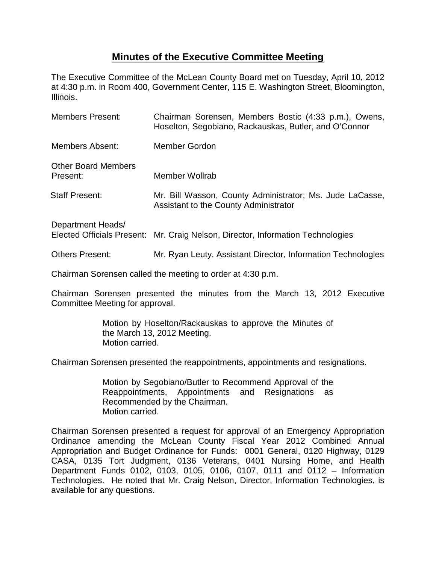## **Minutes of the Executive Committee Meeting**

The Executive Committee of the McLean County Board met on Tuesday, April 10, 2012 at 4:30 p.m. in Room 400, Government Center, 115 E. Washington Street, Bloomington, Illinois.

| <b>Members Present:</b>                                | Chairman Sorensen, Members Bostic (4:33 p.m.), Owens,<br>Hoselton, Segobiano, Rackauskas, Butler, and O'Connor |
|--------------------------------------------------------|----------------------------------------------------------------------------------------------------------------|
| <b>Members Absent:</b>                                 | Member Gordon                                                                                                  |
| <b>Other Board Members</b><br>Present:                 | Member Wollrab                                                                                                 |
| <b>Staff Present:</b>                                  | Mr. Bill Wasson, County Administrator; Ms. Jude LaCasse,<br>Assistant to the County Administrator              |
| Department Heads/<br><b>Elected Officials Present:</b> | Mr. Craig Nelson, Director, Information Technologies                                                           |
| <b>Others Present:</b>                                 | Mr. Ryan Leuty, Assistant Director, Information Technologies                                                   |

Chairman Sorensen called the meeting to order at 4:30 p.m.

Chairman Sorensen presented the minutes from the March 13, 2012 Executive Committee Meeting for approval.

> Motion by Hoselton/Rackauskas to approve the Minutes of the March 13, 2012 Meeting. Motion carried.

Chairman Sorensen presented the reappointments, appointments and resignations.

Motion by Segobiano/Butler to Recommend Approval of the Reappointments, Appointments and Resignations as Recommended by the Chairman. Motion carried.

Chairman Sorensen presented a request for approval of an Emergency Appropriation Ordinance amending the McLean County Fiscal Year 2012 Combined Annual Appropriation and Budget Ordinance for Funds: 0001 General, 0120 Highway, 0129 CASA, 0135 Tort Judgment, 0136 Veterans, 0401 Nursing Home, and Health Department Funds 0102, 0103, 0105, 0106, 0107, 0111 and 0112 – Information Technologies. He noted that Mr. Craig Nelson, Director, Information Technologies, is available for any questions.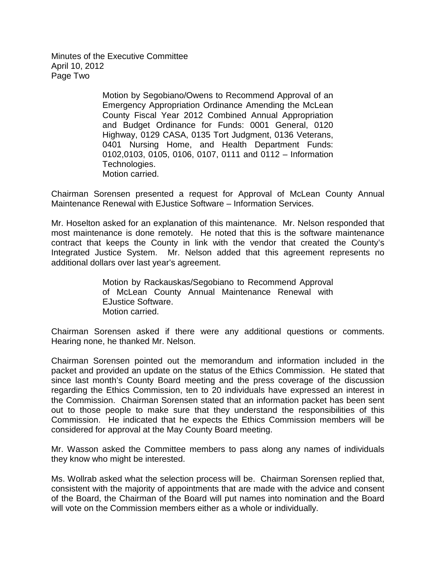Minutes of the Executive Committee April 10, 2012 Page Two

> Motion by Segobiano/Owens to Recommend Approval of an Emergency Appropriation Ordinance Amending the McLean County Fiscal Year 2012 Combined Annual Appropriation and Budget Ordinance for Funds: 0001 General, 0120 Highway, 0129 CASA, 0135 Tort Judgment, 0136 Veterans, 0401 Nursing Home, and Health Department Funds: 0102,0103, 0105, 0106, 0107, 0111 and 0112 – Information Technologies. Motion carried.

Chairman Sorensen presented a request for Approval of McLean County Annual Maintenance Renewal with EJustice Software – Information Services.

Mr. Hoselton asked for an explanation of this maintenance. Mr. Nelson responded that most maintenance is done remotely. He noted that this is the software maintenance contract that keeps the County in link with the vendor that created the County's Integrated Justice System. Mr. Nelson added that this agreement represents no additional dollars over last year's agreement.

> Motion by Rackauskas/Segobiano to Recommend Approval of McLean County Annual Maintenance Renewal with EJustice Software. Motion carried.

Chairman Sorensen asked if there were any additional questions or comments. Hearing none, he thanked Mr. Nelson.

Chairman Sorensen pointed out the memorandum and information included in the packet and provided an update on the status of the Ethics Commission. He stated that since last month's County Board meeting and the press coverage of the discussion regarding the Ethics Commission, ten to 20 individuals have expressed an interest in the Commission. Chairman Sorensen stated that an information packet has been sent out to those people to make sure that they understand the responsibilities of this Commission. He indicated that he expects the Ethics Commission members will be considered for approval at the May County Board meeting.

Mr. Wasson asked the Committee members to pass along any names of individuals they know who might be interested.

Ms. Wollrab asked what the selection process will be. Chairman Sorensen replied that, consistent with the majority of appointments that are made with the advice and consent of the Board, the Chairman of the Board will put names into nomination and the Board will vote on the Commission members either as a whole or individually.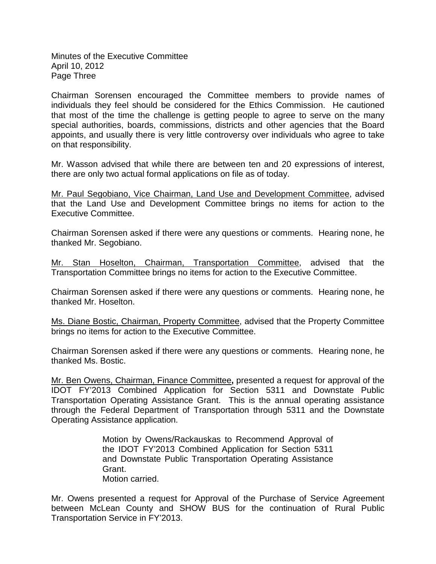Minutes of the Executive Committee April 10, 2012 Page Three

Chairman Sorensen encouraged the Committee members to provide names of individuals they feel should be considered for the Ethics Commission. He cautioned that most of the time the challenge is getting people to agree to serve on the many special authorities, boards, commissions, districts and other agencies that the Board appoints, and usually there is very little controversy over individuals who agree to take on that responsibility.

Mr. Wasson advised that while there are between ten and 20 expressions of interest, there are only two actual formal applications on file as of today.

Mr. Paul Segobiano, Vice Chairman, Land Use and Development Committee , advised that the Land Use and Development Committee brings no items for action to the Executive Committee.

Chairman Sorensen asked if there were any questions or comments. Hearing none, he thanked Mr. Segobiano.

Mr. Stan Hoselton, Chairman, Transportation Committee, advised that the Transportation Committee brings no items for action to the Executive Committee.

Chairman Sorensen asked if there were any questions or comments. Hearing none, he thanked Mr. Hoselton.

Ms. Diane Bostic, Chairman, Property Committee, advised that the Property Committee brings no items for action to the Executive Committee.

Chairman Sorensen asked if there were any questions or comments. Hearing none, he thanked Ms. Bostic.

Mr. Ben Owens, Chairman, Finance Committee**,** presented a request for approval of the IDOT FY'2013 Combined Application for Section 5311 and Downstate Public Transportation Operating Assistance Grant. This is the annual operating assistance through the Federal Department of Transportation through 5311 and the Downstate Operating Assistance application.

> Motion by Owens/Rackauskas to Recommend Approval of the IDOT FY'2013 Combined Application for Section 5311 and Downstate Public Transportation Operating Assistance Grant. Motion carried.

Mr. Owens presented a request for Approval of the Purchase of Service Agreement between McLean County and SHOW BUS for the continuation of Rural Public Transportation Service in FY'2013.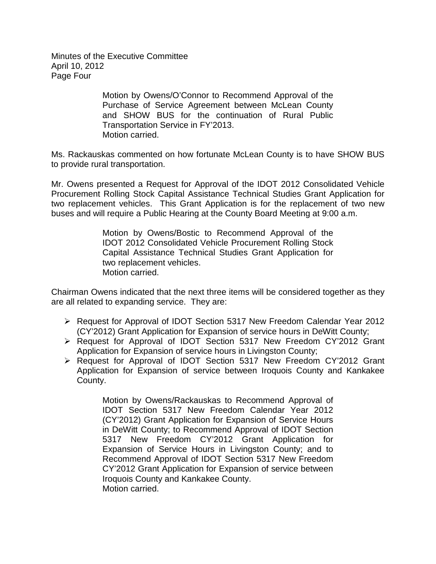Minutes of the Executive Committee April 10, 2012 Page Four

> Motion by Owens/O'Connor to Recommend Approval of the Purchase of Service Agreement between McLean County and SHOW BUS for the continuation of Rural Public Transportation Service in FY'2013. Motion carried.

Ms. Rackauskas commented on how fortunate McLean County is to have SHOW BUS to provide rural transportation.

Mr. Owens presented a Request for Approval of the IDOT 2012 Consolidated Vehicle Procurement Rolling Stock Capital Assistance Technical Studies Grant Application for two replacement vehicles. This Grant Application is for the replacement of two new buses and will require a Public Hearing at the County Board Meeting at 9:00 a.m.

> Motion by Owens/Bostic to Recommend Approval of the IDOT 2012 Consolidated Vehicle Procurement Rolling Stock Capital Assistance Technical Studies Grant Application for two replacement vehicles. Motion carried.

Chairman Owens indicated that the next three items will be considered together as they are all related to expanding service. They are:

- Request for Approval of IDOT Section 5317 New Freedom Calendar Year 2012 (CY'2012) Grant Application for Expansion of service hours in DeWitt County;
- Request for Approval of IDOT Section 5317 New Freedom CY'2012 Grant Application for Expansion of service hours in Livingston County;
- Request for Approval of IDOT Section 5317 New Freedom CY'2012 Grant Application for Expansion of service between Iroquois County and Kankakee County.

Motion by Owens/Rackauskas to Recommend Approval of IDOT Section 5317 New Freedom Calendar Year 2012 (CY'2012) Grant Application for Expansion of Service Hours in DeWitt County; to Recommend Approval of IDOT Section 5317 New Freedom CY'2012 Grant Application for Expansion of Service Hours in Livingston County; and to Recommend Approval of IDOT Section 5317 New Freedom CY'2012 Grant Application for Expansion of service between Iroquois County and Kankakee County. Motion carried.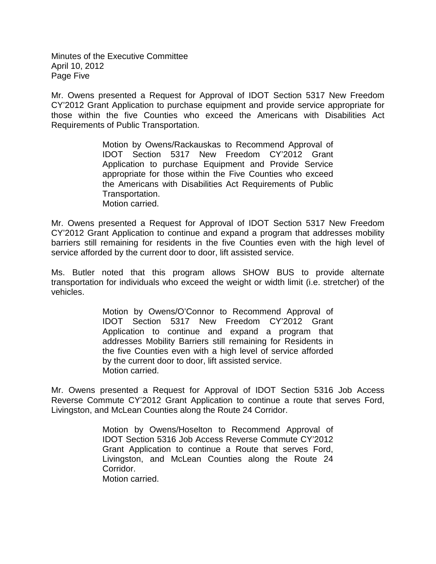Minutes of the Executive Committee April 10, 2012 Page Five

Mr. Owens presented a Request for Approval of IDOT Section 5317 New Freedom CY'2012 Grant Application to purchase equipment and provide service appropriate for those within the five Counties who exceed the Americans with Disabilities Act Requirements of Public Transportation.

> Motion by Owens/Rackauskas to Recommend Approval of IDOT Section 5317 New Freedom CY'2012 Grant Application to purchase Equipment and Provide Service appropriate for those within the Five Counties who exceed the Americans with Disabilities Act Requirements of Public Transportation. Motion carried.

Mr. Owens presented a Request for Approval of IDOT Section 5317 New Freedom CY'2012 Grant Application to continue and expand a program that addresses mobility barriers still remaining for residents in the five Counties even with the high level of service afforded by the current door to door, lift assisted service.

Ms. Butler noted that this program allows SHOW BUS to provide alternate transportation for individuals who exceed the weight or width limit (i.e. stretcher) of the vehicles.

> Motion by Owens/O'Connor to Recommend Approval of IDOT Section 5317 New Freedom CY'2012 Grant Application to continue and expand a program that addresses Mobility Barriers still remaining for Residents in the five Counties even with a high level of service afforded by the current door to door, lift assisted service. Motion carried.

Mr. Owens presented a Request for Approval of IDOT Section 5316 Job Access Reverse Commute CY'2012 Grant Application to continue a route that serves Ford, Livingston, and McLean Counties along the Route 24 Corridor.

> Motion by Owens/Hoselton to Recommend Approval of IDOT Section 5316 Job Access Reverse Commute CY'2012 Grant Application to continue a Route that serves Ford, Livingston, and McLean Counties along the Route 24 Corridor. Motion carried.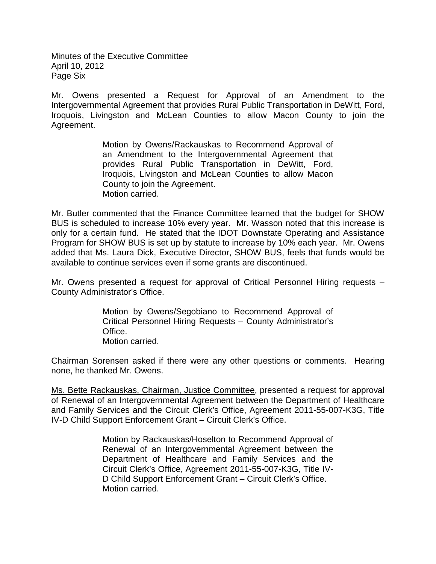Minutes of the Executive Committee April 10, 2012 Page Six

Mr. Owens presented a Request for Approval of an Amendment to the Intergovernmental Agreement that provides Rural Public Transportation in DeWitt, Ford, Iroquois, Livingston and McLean Counties to allow Macon County to join the Agreement.

> Motion by Owens/Rackauskas to Recommend Approval of an Amendment to the Intergovernmental Agreement that provides Rural Public Transportation in DeWitt, Ford, Iroquois, Livingston and McLean Counties to allow Macon County to join the Agreement. Motion carried.

Mr. Butler commented that the Finance Committee learned that the budget for SHOW BUS is scheduled to increase 10% every year. Mr. Wasson noted that this increase is only for a certain fund. He stated that the IDOT Downstate Operating and Assistance Program for SHOW BUS is set up by statute to increase by 10% each year. Mr. Owens added that Ms. Laura Dick, Executive Director, SHOW BUS, feels that funds would be available to continue services even if some grants are discontinued.

Mr. Owens presented a request for approval of Critical Personnel Hiring requests – County Administrator's Office.

> Motion by Owens/Segobiano to Recommend Approval of Critical Personnel Hiring Requests – County Administrator's Office. Motion carried.

Chairman Sorensen asked if there were any other questions or comments. Hearing none, he thanked Mr. Owens.

Ms. Bette Rackauskas, Chairman, Justice Committee, presented a request for approval of Renewal of an Intergovernmental Agreement between the Department of Healthcare and Family Services and the Circuit Clerk's Office, Agreement 2011-55-007-K3G, Title IV-D Child Support Enforcement Grant – Circuit Clerk's Office.

> Motion by Rackauskas/Hoselton to Recommend Approval of Renewal of an Intergovernmental Agreement between the Department of Healthcare and Family Services and the Circuit Clerk's Office, Agreement 2011-55-007-K3G, Title IV-D Child Support Enforcement Grant – Circuit Clerk's Office. Motion carried.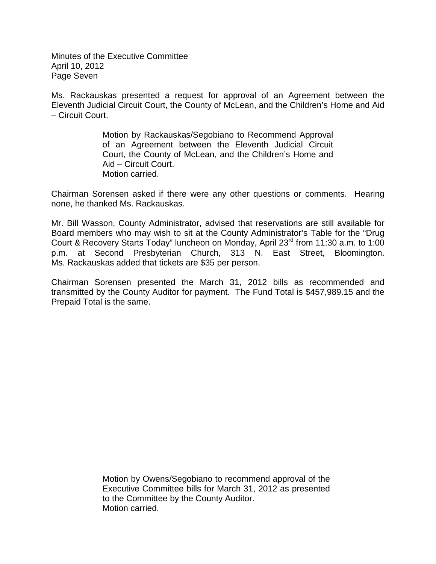Minutes of the Executive Committee April 10, 2012 Page Seven

Ms. Rackauskas presented a request for approval of an Agreement between the Eleventh Judicial Circuit Court, the County of McLean, and the Children's Home and Aid – Circuit Court.

> Motion by Rackauskas/Segobiano to Recommend Approval of an Agreement between the Eleventh Judicial Circuit Court, the County of McLean, and the Children's Home and Aid – Circuit Court. Motion carried.

Chairman Sorensen asked if there were any other questions or comments. Hearing none, he thanked Ms. Rackauskas.

Mr. Bill Wasson, County Administrator, advised that reservations are still available for Board members who may wish to sit at the County Administrator's Table for the "Drug Court & Recovery Starts Today" luncheon on Monday, April 23<sup>rd</sup> from 11:30 a.m. to 1:00 p.m. at Second Presbyterian Church, 313 N. East Street, Bloomington. Ms. Rackauskas added that tickets are \$35 per person.

Chairman Sorensen presented the March 31, 2012 bills as recommended and transmitted by the County Auditor for payment. The Fund Total is \$457,989.15 and the Prepaid Total is the same.

> Motion by Owens/Segobiano to recommend approval of the Executive Committee bills for March 31, 2012 as presented to the Committee by the County Auditor. Motion carried.